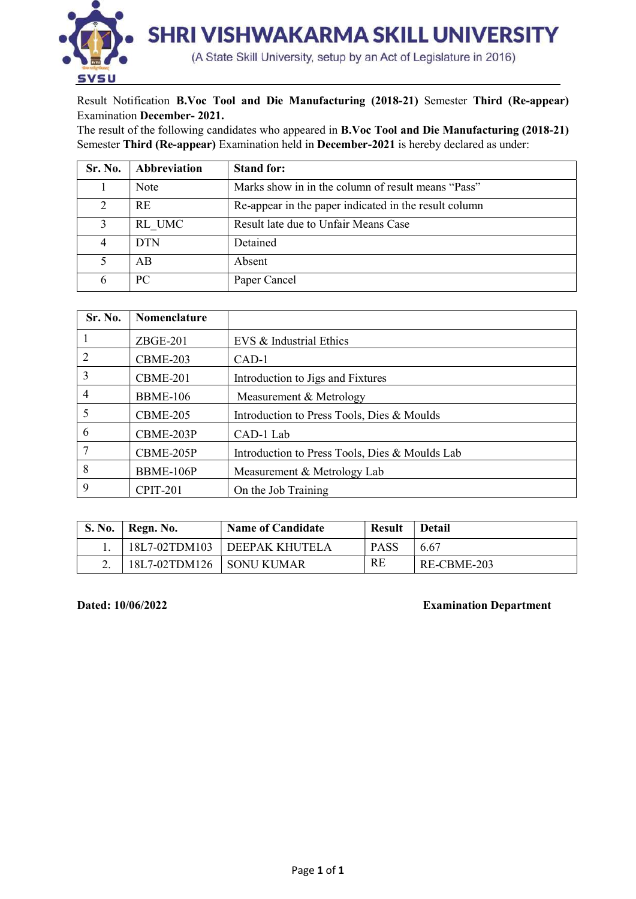

Result Notification B.Voc Tool and Die Manufacturing (2018-21) Semester Third (Re-appear) Examination December- 2021.

The result of the following candidates who appeared in B.Voc Tool and Die Manufacturing (2018-21) Semester Third (Re-appear) Examination held in December-2021 is hereby declared as under:

| Sr. No.       | Abbreviation | <b>Stand for:</b>                                     |
|---------------|--------------|-------------------------------------------------------|
|               | Note         | Marks show in in the column of result means "Pass"    |
| $\mathcal{D}$ | <b>RE</b>    | Re-appear in the paper indicated in the result column |
|               | RL UMC       | Result late due to Unfair Means Case                  |
|               | <b>DTN</b>   | Detained                                              |
|               | AB           | Absent                                                |
|               | PC.          | Paper Cancel                                          |

| Sr. No.        | <b>Nomenclature</b> |                                                |
|----------------|---------------------|------------------------------------------------|
|                | $ZBGE-201$          | EVS & Industrial Ethics                        |
| $\overline{2}$ | <b>CBME-203</b>     | $CAD-1$                                        |
| 3              | <b>CBME-201</b>     | Introduction to Jigs and Fixtures              |
| 4              | <b>BBME-106</b>     | Measurement & Metrology                        |
| 5              | <b>CBME-205</b>     | Introduction to Press Tools, Dies & Moulds     |
| 6              | CBME-203P           | CAD-1 Lab                                      |
| 7              | CBME-205P           | Introduction to Press Tools, Dies & Moulds Lab |
| 8              | BBME-106P           | Measurement & Metrology Lab                    |
| 9              | <b>CPIT-201</b>     | On the Job Training                            |

|    | S. No.   Regn. No.         | <b>Name of Candidate</b> | <b>Result</b> | <b>Detail</b> |
|----|----------------------------|--------------------------|---------------|---------------|
|    | 18L7-02TDM103              | <b>DEEPAK KHUTELA</b>    | <b>PASS</b>   | 6.67          |
| ٠. | 18L7-02TDM126   SONU KUMAR |                          | RE            | RE-CBME-203   |

## Dated: 10/06/2022 Examination Department